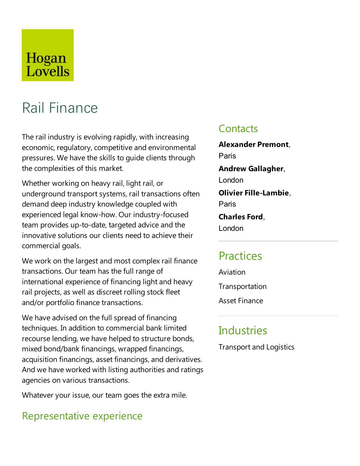# Hogan Lovells

# Rail Finance

The rail industry is evolving rapidly, with increasing economic, regulatory, competitive and environmental pressures. We have the skills to guide clients through the complexities of this market.

Whether working on heavy rail, light rail, or underground transport systems, rail transactions often demand deep industry knowledge coupled with experienced legal know-how. Our industry-focused team provides up-to-date, targeted advice and the innovative solutions our clients need to achieve their commercial goals.

We work on the largest and most complex rail finance transactions. Our team has the full range of international experience of financing light and heavy rail projects, as well as discreet rolling stock fleet and/or portfolio finance transactions.

We have advised on the full spread of financing techniques. In addition to commercial bank limited recourse lending, we have helped to structure bonds, mixed bond/bank financings, wrapped financings, acquisition financings, asset financings, and derivatives. And we have worked with listing authorities and ratings agencies on various transactions.

Whatever your issue, our team goes the extra mile.

### Representative experience

#### **Contacts**

**Alexander Premont**, Paris **Andrew Gallagher**, London **Olivier Fille-Lambie.** Paris **Charles Ford,** London

# **Practices**

Aviation **Transportation** Asset Finance

# Industries

**Transport and Logistics**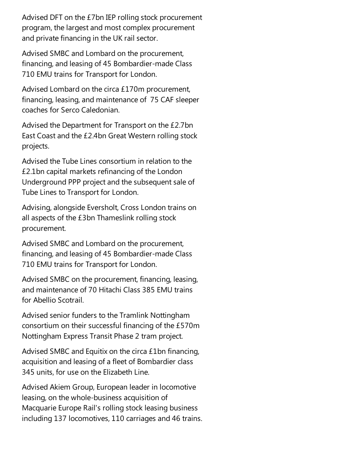Advised DFT on the £7bn IEP rolling stock procurement program, the largest and most complex procurement and private financing in the UK rail sector.

Advised SMBC and Lombard on the procurement, financing, and leasing of 45 Bombardier-made Class 710 EMU trains for Transport for London.

Advised Lombard on the circa £170m procurement, financing, leasing, and maintenance of 75 CAF sleeper coaches for Serco Caledonian.

Advised the Department for Transport on the £2.7bn East Coast and the £2.4bn Great Western rolling stock projects.

Advised the Tube Lines consortium in relation to the £2.1bn capital markets refinancing of theLondon Underground PPP project and the subsequent sale of Tube Lines to Transport for London.

Advising, alongside Eversholt, Cross London trains on all aspects of the £3bn Thameslink rolling stock procurement.

Advised SMBC and Lombard on the procurement, financing, and leasing of 45 Bombardier-made Class 710 EMU trains for Transport for London.

Advised SMBC on the procurement, financing, leasing, and maintenance of 70 Hitachi Class 385 EMU trains for Abellio Scotrail.

Advised senior funders to the Tramlink Nottingham consortium on their successful financing of the £570m Nottingham Express Transit Phase 2 tram project.

Advised SMBC and Equitix on the circa  $£1$ bn financing, acquisition and leasing of a fleet of Bombardier class 345 units, for use on the Elizabeth Line.

Advised Akiem Group, European leader in locomotive leasing, on the whole-business acquisition of Macquarie Europe Rail's rolling stock leasing business including 137 locomotives, 110 carriages and 46 trains.